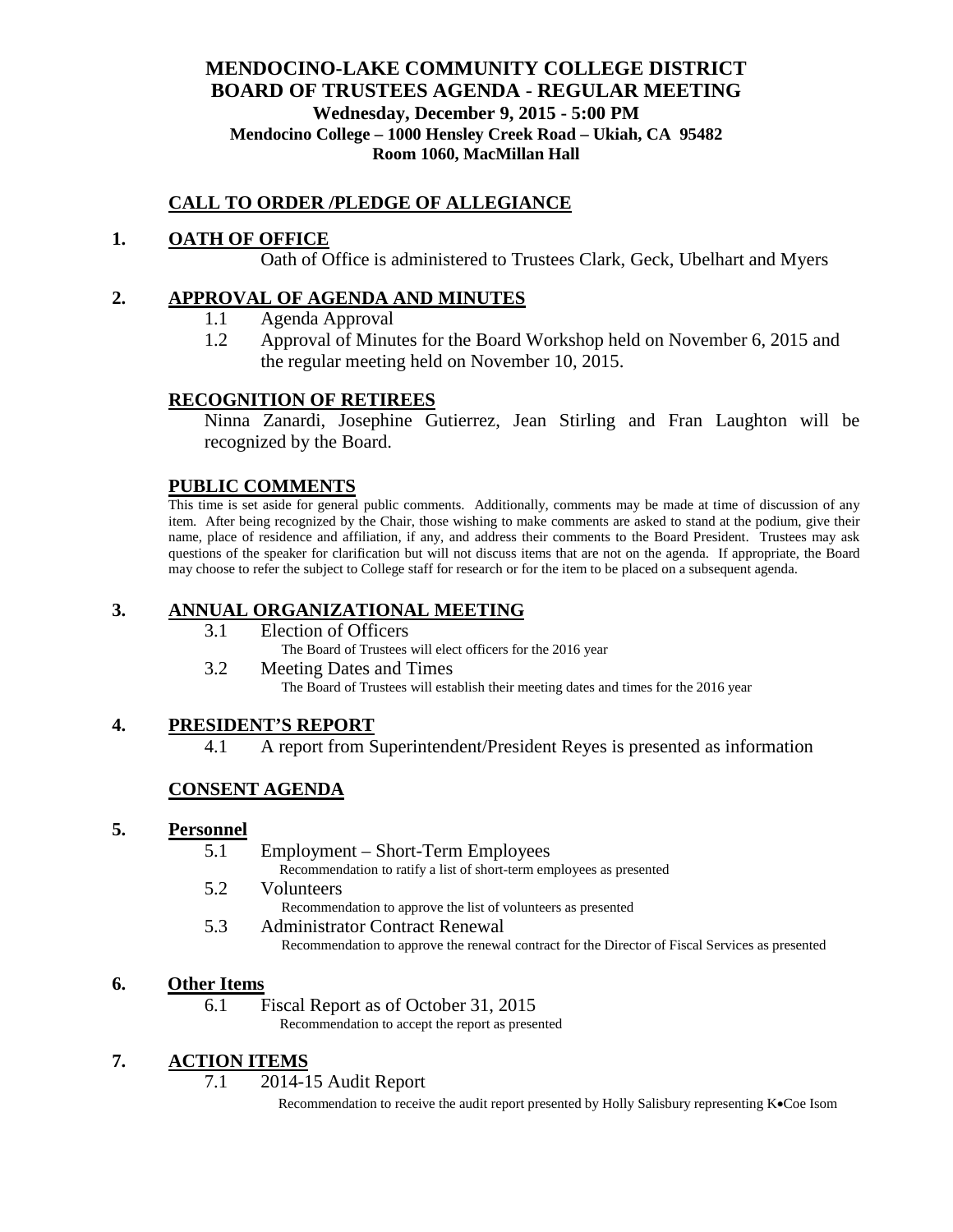## **MENDOCINO-LAKE COMMUNITY COLLEGE DISTRICT BOARD OF TRUSTEES AGENDA** - **REGULAR MEETING Wednesday, December 9, 2015 - 5:00 PM Mendocino College – 1000 Hensley Creek Road – Ukiah, CA 95482 Room 1060, MacMillan Hall**

## **CALL TO ORDER /PLEDGE OF ALLEGIANCE**

## **1. OATH OF OFFICE**

Oath of Office is administered to Trustees Clark, Geck, Ubelhart and Myers

## **2. APPROVAL OF AGENDA AND MINUTES**

- 1.1 Agenda Approval
- 1.2 Approval of Minutes for the Board Workshop held on November 6, 2015 and the regular meeting held on November 10, 2015.

## **RECOGNITION OF RETIREES**

Ninna Zanardi, Josephine Gutierrez, Jean Stirling and Fran Laughton will be recognized by the Board.

## **PUBLIC COMMENTS**

This time is set aside for general public comments. Additionally, comments may be made at time of discussion of any item. After being recognized by the Chair, those wishing to make comments are asked to stand at the podium, give their name, place of residence and affiliation, if any, and address their comments to the Board President. Trustees may ask questions of the speaker for clarification but will not discuss items that are not on the agenda. If appropriate, the Board may choose to refer the subject to College staff for research or for the item to be placed on a subsequent agenda.

## **3. ANNUAL ORGANIZATIONAL MEETING**

- 3.1 Election of Officers
	- The Board of Trustees will elect officers for the 2016 year
- 3.2 Meeting Dates and Times The Board of Trustees will establish their meeting dates and times for the 2016 year

## **4. PRESIDENT'S REPORT**

4.1 A report from Superintendent/President Reyes is presented as information

## **CONSENT AGENDA**

#### **5. Personnel**

- 5.1 Employment Short-Term Employees
	- Recommendation to ratify a list of short-term employees as presented
- 5.2 Volunteers

Recommendation to approve the list of volunteers as presented

5.3 Administrator Contract Renewal Recommendation to approve the renewal contract for the Director of Fiscal Services as presented

## **6. Other Items**

6.1 Fiscal Report as of October 31, 2015

Recommendation to accept the report as presented

# **7. ACTION ITEMS**

## 7.1 2014-15 Audit Report

Recommendation to receive the audit report presented by Holly Salisbury representing K•Coe Isom